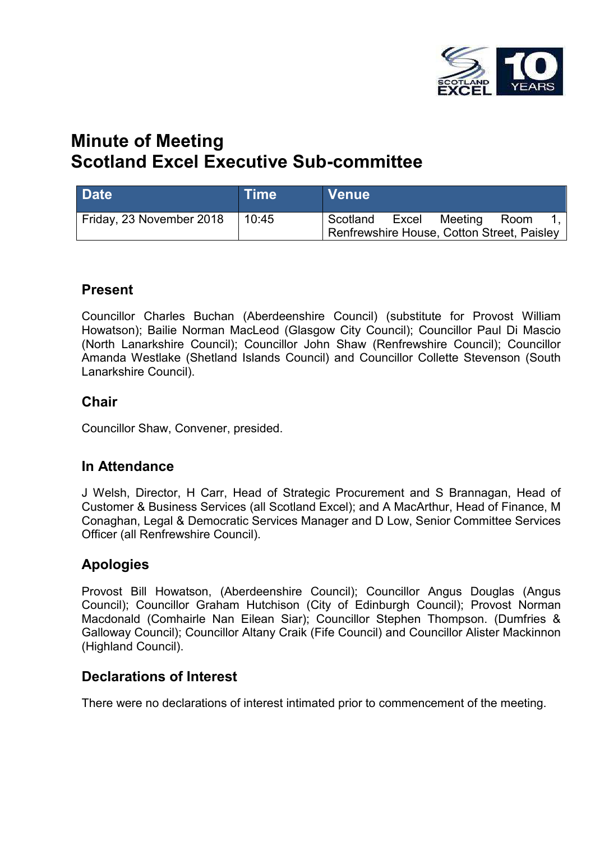

# **Minute of Meeting Scotland Excel Executive Sub-committee**

| <b>Date</b>              | <b>Time</b> | <b>Venue</b>                                           |       |         |      |  |
|--------------------------|-------------|--------------------------------------------------------|-------|---------|------|--|
| Friday, 23 November 2018 | 10:45       | Scotland<br>Renfrewshire House, Cotton Street, Paisley | Excel | Meeting | Room |  |

### **Present**

Councillor Charles Buchan (Aberdeenshire Council) (substitute for Provost William Howatson); Bailie Norman MacLeod (Glasgow City Council); Councillor Paul Di Mascio (North Lanarkshire Council); Councillor John Shaw (Renfrewshire Council); Councillor Amanda Westlake (Shetland Islands Council) and Councillor Collette Stevenson (South Lanarkshire Council).

### **Chair**

Councillor Shaw, Convener, presided.

### **In Attendance**

J Welsh, Director, H Carr, Head of Strategic Procurement and S Brannagan, Head of Customer & Business Services (all Scotland Excel); and A MacArthur, Head of Finance, M Conaghan, Legal & Democratic Services Manager and D Low, Senior Committee Services Officer (all Renfrewshire Council).

### **Apologies**

Provost Bill Howatson, (Aberdeenshire Council); Councillor Angus Douglas (Angus Council); Councillor Graham Hutchison (City of Edinburgh Council); Provost Norman Macdonald (Comhairle Nan Eilean Siar); Councillor Stephen Thompson. (Dumfries & Galloway Council); Councillor Altany Craik (Fife Council) and Councillor Alister Mackinnon (Highland Council).

### **Declarations of Interest**

There were no declarations of interest intimated prior to commencement of the meeting.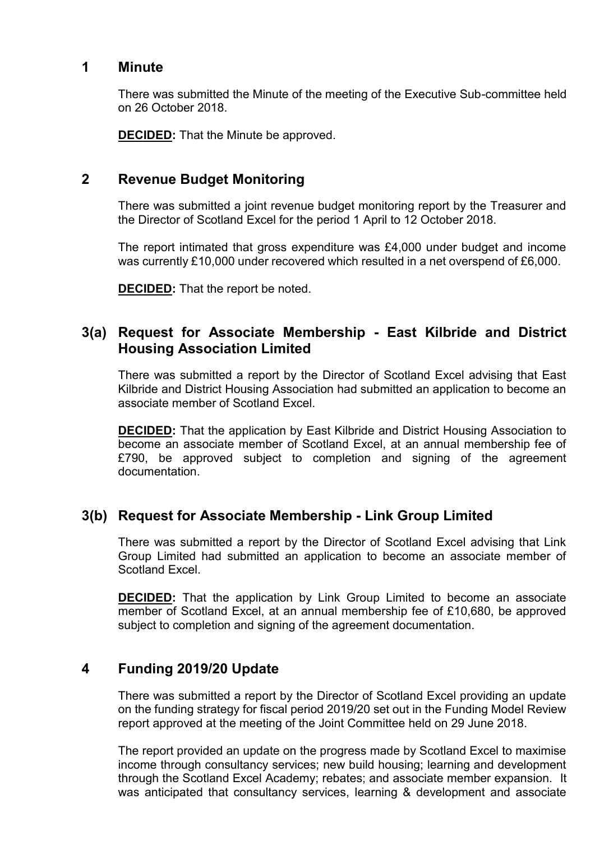#### **1 Minute**

There was submitted the Minute of the meeting of the Executive Sub-committee held on 26 October 2018.

**DECIDED:** That the Minute be approved.

### **2 Revenue Budget Monitoring**

There was submitted a joint revenue budget monitoring report by the Treasurer and the Director of Scotland Excel for the period 1 April to 12 October 2018.

The report intimated that gross expenditure was £4,000 under budget and income was currently £10,000 under recovered which resulted in a net overspend of £6,000.

**DECIDED:** That the report be noted.

## **3(a) Request for Associate Membership - East Kilbride and District Housing Association Limited**

There was submitted a report by the Director of Scotland Excel advising that East Kilbride and District Housing Association had submitted an application to become an associate member of Scotland Excel.

**DECIDED:** That the application by East Kilbride and District Housing Association to become an associate member of Scotland Excel, at an annual membership fee of £790, be approved subject to completion and signing of the agreement documentation.

### **3(b) Request for Associate Membership - Link Group Limited**

There was submitted a report by the Director of Scotland Excel advising that Link Group Limited had submitted an application to become an associate member of Scotland Excel.

**DECIDED:** That the application by Link Group Limited to become an associate member of Scotland Excel, at an annual membership fee of £10,680, be approved subject to completion and signing of the agreement documentation.

### **4 Funding 2019/20 Update**

There was submitted a report by the Director of Scotland Excel providing an update on the funding strategy for fiscal period 2019/20 set out in the Funding Model Review report approved at the meeting of the Joint Committee held on 29 June 2018.

The report provided an update on the progress made by Scotland Excel to maximise income through consultancy services; new build housing; learning and development through the Scotland Excel Academy; rebates; and associate member expansion. It was anticipated that consultancy services, learning & development and associate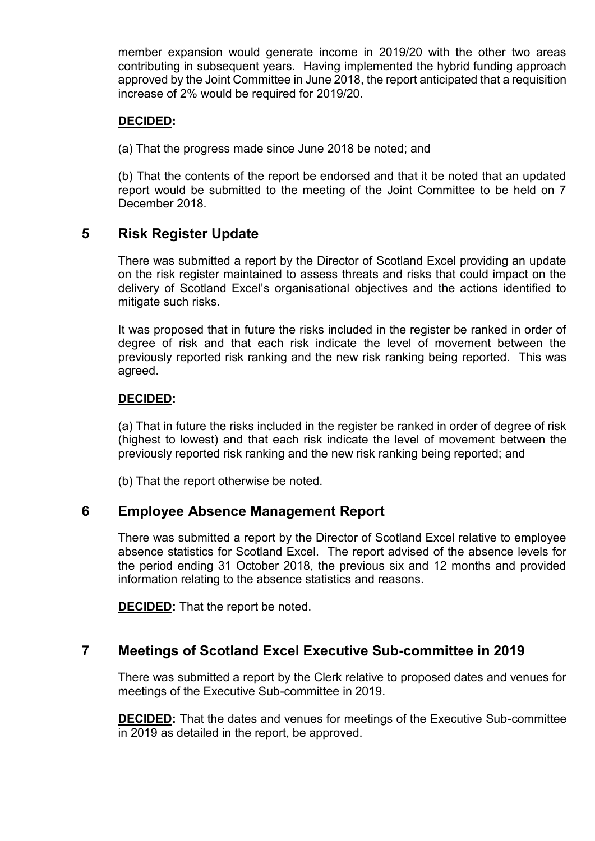member expansion would generate income in 2019/20 with the other two areas contributing in subsequent years. Having implemented the hybrid funding approach approved by the Joint Committee in June 2018, the report anticipated that a requisition increase of 2% would be required for 2019/20.

#### **DECIDED:**

(a) That the progress made since June 2018 be noted; and

(b) That the contents of the report be endorsed and that it be noted that an updated report would be submitted to the meeting of the Joint Committee to be held on 7 December 2018.

## **5 Risk Register Update**

There was submitted a report by the Director of Scotland Excel providing an update on the risk register maintained to assess threats and risks that could impact on the delivery of Scotland Excel's organisational objectives and the actions identified to mitigate such risks.

It was proposed that in future the risks included in the register be ranked in order of degree of risk and that each risk indicate the level of movement between the previously reported risk ranking and the new risk ranking being reported. This was agreed.

#### **DECIDED:**

(a) That in future the risks included in the register be ranked in order of degree of risk (highest to lowest) and that each risk indicate the level of movement between the previously reported risk ranking and the new risk ranking being reported; and

(b) That the report otherwise be noted.

### **6 Employee Absence Management Report**

There was submitted a report by the Director of Scotland Excel relative to employee absence statistics for Scotland Excel. The report advised of the absence levels for the period ending 31 October 2018, the previous six and 12 months and provided information relating to the absence statistics and reasons.

**DECIDED:** That the report be noted.

### **7 Meetings of Scotland Excel Executive Sub-committee in 2019**

There was submitted a report by the Clerk relative to proposed dates and venues for meetings of the Executive Sub-committee in 2019.

**DECIDED:** That the dates and venues for meetings of the Executive Sub-committee in 2019 as detailed in the report, be approved.